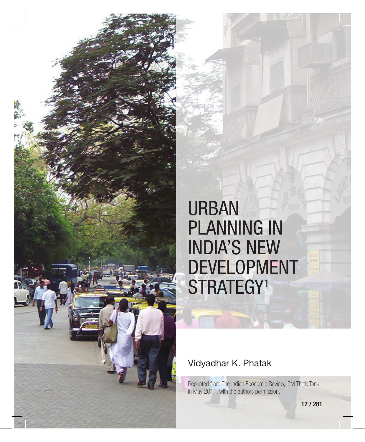

# URBAN PLANNING IN INDIA'S NEW DEVELOPMENT STRATEGY<sup>1</sup>

#### Vidyadhar K. Phatak

Reprinted from The Indian Economic Review,IIPM Think Tank, in May 2011, with the authors permission.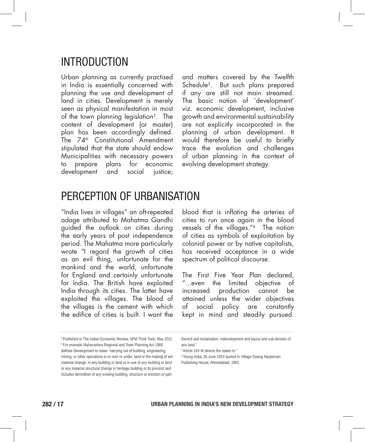# INTRODUCTION

Urban planning as currently practised in India is essentially concerned with planning the use and development of land in cities. Development is merely seen as physical manifestation in most of the town planning legislation2. The content of development (or master) plan has been accordingly defined. The 74<sup>th</sup> Constitutional Amendment stipulated that the state should endow Municipalities with necessary powers to prepare plans for economic development and social justice;

and matters covered by the Twelfth Schedule3. But such plans prepared if any are still not main streamed. The basic notion of 'development' viz. economic development, inclusive growth and environmental sustainability are not explicitly incorporated in the planning of urban development. It would therefore be useful to briefly trace the evolution and challenges of urban planning in the context of evolving development strategy.

## PERCEPTION OF URBANISATION

"India lives in villages" an oft-repeated adage attributed to Mahatma Gandhi guided the outlook on cities during the early years of post independence period. The Mahatma more particularly wrote "I regard the growth of cities as an evil thing, unfortunate for the mankind and the world, unfortunate for England and certainly unfortunate for India. The British have exploited India through its cities. The latter have exploited the villages. The blood of the villages is the cement with which the edifice of cities is built. I want the blood that is inflating the arteries of cities to run once again in the blood vessels of the villages."4 The notion of cities as symbols of exploitation by colonial power or by native capitalists, has received acceptance in a wide spectrum of political discourse.

The First Five Year Plan declared, "...even the limited objective of increased production cannot be attained unless the wider objectives of social policy are constantly kept in mind and steadily pursued.

<sup>&</sup>lt;sup>1</sup> Published in The Indian Economic Review, IIPM Think Tank, May 2011 2 For example Maharashtra Regional and Town Planning Act 1966 defines Development to mean "carrying out of building, engineering, mining, or other operations in or over or under, land or the making of ant material change, in any building or land or in use of any building or land or any material structural change in heritage building or its precinct and includes demolition of any existing building, structure or erection or part

thereof and reclamation, redevelopment and layout and sub-division of any land."

<sup>3</sup> Article 243 W directs the states to "

<sup>4</sup> Young India, 26 June 1924 quoted in Village Swaraj Navjeevan Publishing House, Ahmedabad, 1962.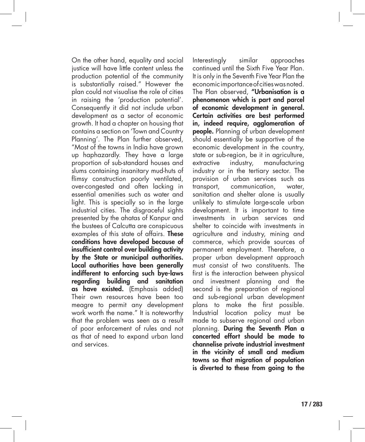On the other hand, equality and social justice will have little content unless the production potential of the community is substantially raised." However the plan could not visualise the role of cities in raising the 'production potential'. Consequently it did not include urban development as a sector of economic growth. It had a chapter on housing that contains a section on 'Town and Country Planning'. The Plan further observed, "Most of the towns in India have grown up haphazardly. They have a large proportion of sub-standard houses and slums containing insanitary mud-huts of flimsy construction poorly ventilated, over-congested and often lacking in essential amenities such as water and light. This is specially so in the large industrial cities. The disgraceful sights presented by the ahatas of Kanpur and the bustees of Calcutta are conspicuous examples of this state of affairs. **These** conditions have developed because of insufficient control over building activity by the State or municipal authorities. Local authorities have been generally indifferent to enforcing such bye-laws regarding building and sanitation as have existed. (Emphasis added) Their own resources have been too meagre to permit any development work worth the name." It is noteworthy that the problem was seen as a result of poor enforcement of rules and not as that of need to expand urban land and services.

Interestingly similar approaches continued until the Sixth Five Year Plan. It is only in the Seventh Five Year Plan the economic importance of cities was noted. The Plan observed, "Urbanisation is a phenomenon which is part and parcel of economic development in general. Certain activities are best performed in, indeed require, agglomeration of **people.** Planning of urban development should essentially be supportive of the economic development in the country, state or sub-region, be it in agriculture, extractive industry, manufacturing industry or in the tertiary sector. The provision of urban services such as transport, communication, water, sanitation and shelter alone is usually unlikely to stimulate large-scale urban development. It is important to time investments in urban services and shelter to coincide with investments in agriculture and industry, mining and commerce, which provide sources of permanent employment. Therefore, a proper urban development approach must consist of two constituents. The first is the interaction between physical and investment planning and the second is the preparation of regional and sub-regional urban development plans to make the first possible. Industrial location policy must be made to subserve regional and urban planning. During the Seventh Plan a concerted effort should be made to channelise private industrial investment in the vicinity of small and medium towns so that migration of population is diverted to these from going to the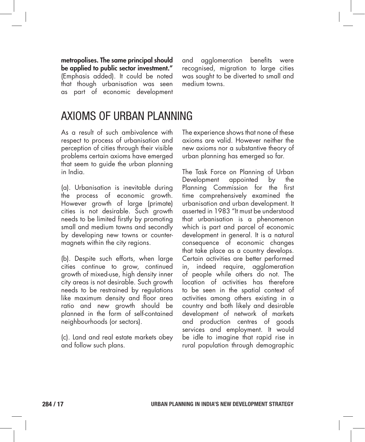metropolises. The same principal should be applied to public sector investment." (Emphasis added). It could be noted that though urbanisation was seen as part of economic development and agglomeration benefits were recognised, migration to large cities was sought to be diverted to small and medium towns.

### AXIOMS OF URBAN PLANNING

As a result of such ambivalence with respect to process of urbanisation and perception of cities through their visible problems certain axioms have emerged that seem to guide the urban planning in India.

(a). Urbanisation is inevitable during the process of economic growth. However growth of large (primate) cities is not desirable. Such growth needs to be limited firstly by promoting small and medium towns and secondly by developing new towns or countermagnets within the city regions.

(b). Despite such efforts, when large cities continue to grow, continued growth of mixed-use, high density inner city areas is not desirable. Such growth needs to be restrained by regulations like maximum density and floor area ratio and new growth should be planned in the form of self-contained neighbourhoods (or sectors).

(c). Land and real estate markets obey and follow such plans.

The experience shows that none of these axioms are valid. However neither the new axioms nor a substantive theory of urban planning has emerged so far.

The Task Force on Planning of Urban Development appointed by the Planning Commission for the first time comprehensively examined the urbanisation and urban development. It asserted in 1983 "It must be understood that urbanisation is a phenomenon which is part and parcel of economic development in general. It is a natural consequence of economic changes that take place as a country develops. Certain activities are better performed in, indeed require, agglomeration of people while others do not. The location of activities has therefore to be seen in the spatial context of activities among others existing in a country and both likely and desirable development of network of markets and production centres of goods services and employment. It would be idle to imagine that rapid rise in rural population through demographic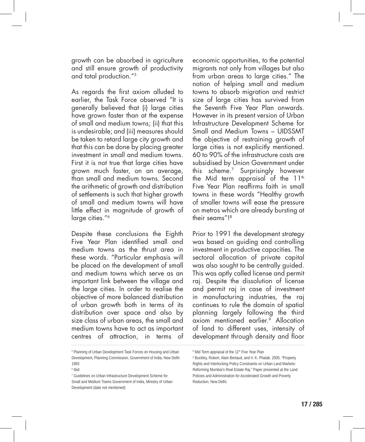growth can be absorbed in agriculture and still ensure growth of productivity and total production."5

As regards the first axiom alluded to earlier, the Task Force observed "It is generally believed that (i) large cities have grown faster than at the expense of small and medium towns; (ii) that this is undesirable; and (iii) measures should be taken to retard large city growth and that this can be done by placing greater investment in small and medium towns. First it is not true that large cities have grown much faster, on an average, than small and medium towns. Second the arithmetic of growth and distribution of settlements is such that higher growth of small and medium towns will have little effect in magnitude of growth of large cities."<sup>6</sup>

Despite these conclusions the Eighth Five Year Plan identified small and medium towns as the thrust area in these words. "Particular emphasis will be placed on the development of small and medium towns which serve as an important link between the village and the large cities. In order to realise the objective of more balanced distribution of urban growth both in terms of its distribution over space and also by size class of urban areas, the small and medium towns have to act as important centres of attraction, in terms of economic opportunities, to the potential migrants not only from villages but also from urban areas to large cities." The notion of helping small and medium towns to absorb migration and restrict size of large cities has survived from the Seventh Five Year Plan onwards. However in its present version of Urban Infrastructure Development Scheme for Small and Medium Towns – UIDSSMT the objective of restraining growth of large cities is not explicitly mentioned. 60 to 90% of the infrastructure costs are subsidised by Union Government under this scheme.7 Surprisingly however the Mid term appraisal of the  $11<sup>th</sup>$ Five Year Plan reaffirms faith in small towns in these words "Healthy growth of smaller towns will ease the pressure on metros which are already bursting at their seams"!8

Prior to 1991 the development strategy was based on guiding and controlling investment in productive capacities. The sectoral allocation of private capital was also sought to be centrally guided. This was aptly called license and permit raj. Despite the dissolution of license and permit raj in case of investment in manufacturing industries, the raj continues to rule the domain of spatial planning largely following the third axiom mentioned earlier.9 Allocation of land to different uses, intensity of development through density and floor

<sup>&</sup>lt;sup>5</sup> Planning of Urban Development Task Forces on Housing and Urban Development, Planning Commission, Government of India, New Delhi 1983

<sup>6</sup> Ibid

<sup>7</sup> Guidelines on Urban Infrastructure Development Scheme for Small and Medium Towns Government of India, Ministry of Urban Development (date not mentioned)

<sup>&</sup>lt;sup>8</sup> Mid Term appraisal of the 11<sup>th</sup> Five Year Plan

<sup>9</sup> Buckley, Robert, Alain Bertaud, and V. K. Phatak. 2005. "Property Rights and Interlocking Policy Constraints on Urban Land Markets: Reforming Mumbai's Real Estate Raj." Paper presented at the Land Policies and Administration for Accelerated Growth and Poverty Reduction, New Delhi.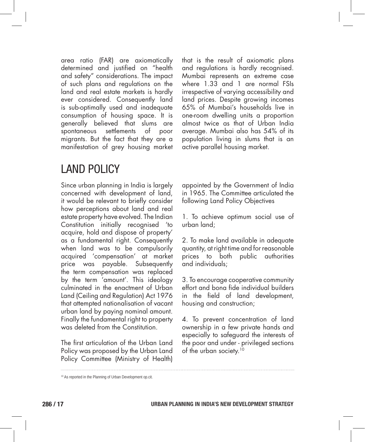area ratio (FAR) are axiomatically determined and justified on "health and safety" considerations. The impact of such plans and regulations on the land and real estate markets is hardly ever considered. Consequently land is sub-optimally used and inadequate consumption of housing space. It is generally believed that slums are spontaneous settlements of poor migrants. But the fact that they are a manifestation of grey housing market

# LAND POLICY

Since urban planning in India is largely concerned with development of land, it would be relevant to briefly consider how perceptions about land and real estate property have evolved. The Indian Constitution initially recognised 'to acquire, hold and dispose of property' as a fundamental right. Consequently when land was to be compulsorily acquired 'compensation' at market price was payable. Subsequently the term compensation was replaced by the term 'amount'. This ideology culminated in the enactment of Urban Land (Ceiling and Regulation) Act 1976 that attempted nationalisation of vacant urban land by paying nominal amount. Finally the fundamental right to property was deleted from the Constitution.

The first articulation of the Urban Land Policy was proposed by the Urban Land Policy Committee (Ministry of Health) that is the result of axiomatic plans and regulations is hardly recognised. Mumbai represents an extreme case where 1.33 and 1 are normal FSIs irrespective of varying accessibility and land prices. Despite growing incomes 65% of Mumbai's households live in one-room dwelling units a proportion almost twice as that of Urban India average. Mumbai also has 54% of its population living in slums that is an active parallel housing market.

appointed by the Government of India in 1965. The Committee articulated the following Land Policy Objectives

1. To achieve optimum social use of urban land;

2. To make land available in adequate quantity, at right time and for reasonable prices to both public authorities and individuals;

3. To encourage cooperative community effort and bona fide individual builders in the field of land development, housing and construction;

4. To prevent concentration of land ownership in a few private hands and especially to safeguard the interests of the poor and under - privileged sections of the urban society.<sup>10</sup>

<sup>&</sup>lt;sup>10</sup> As reported in the Planning of Urban Development op.cit.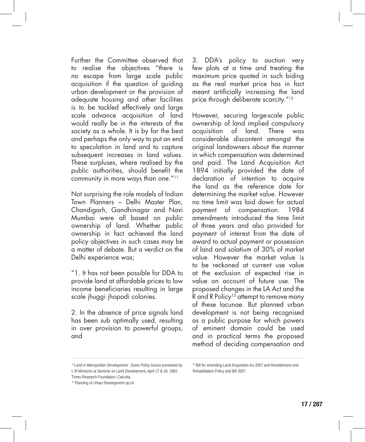Further the Committee observed that to realise the objectives "there is no escape from large scale public acquisition if the question of guiding urban development or the provision of adequate housing and other facilities is to be tackled effectively and large scale advance acquisition of land would really be in the interests of the society as a whole. It is by far the best and perhaps the only way to put an end to speculation in land and to capture subsequent increases in land values. These surpluses, where realised by the public authorities, should benefit the community in more ways than one."11

Not surprising the role models of Indian Town Planners – Delhi Master Plan, Chandigarh, Gandhinagar and Navi Mumbai were all based on public ownership of land. Whether public ownership in fact achieved the land policy objectives in such cases may be a matter of debate. But a verdict on the Delhi experience was;

"1. It has not been possible for DDA to provide land at affordable prices to low income beneficiaries resulting in large scale jhuggi jhopadi colonies.

2. In the absence of price signals land has been sub optimally used, resulting in over provision to powerful groups, and

3. DDA's policy to auction very few plots at a time and treating the maximum price quoted in such biding as the real market price has in fact meant artificially increasing the land price through deliberate scarcity."<sup>12</sup>

However, securing large-scale public ownership of land implied compulsory acquisition of land. There was considerable discontent amongst the original landowners about the manner in which compensation was determined and paid. The Land Acquisition Act 1894 initially provided the date of declaration of intention to acquire the land as the reference date for determining the market value. However no time limit was laid down for actual payment of compensation. 1984 amendments introduced the time limit of three years and also provided for payment of interest from the date of award to actual payment or possession of land and solatium of 30% of market value. However the market value is to be reckoned at current use value at the exclusion of expected rise in value on account of future use. The proposed changes in the LA Act and the R and R Policy<sup>13</sup> attempt to remove many of these lacunae. But planned urban development is not being recognised as a public purpose for which powers of eminent domain could be used and in practical terms the proposed method of deciding compensation and

<sup>11</sup>*Land in Metropolitan Development: Some Policy Issues* presented by L M Menezes at Seminar on Land Development, April 17 & 18, 1982,

Times Research Foundation, Calcutta.

<sup>&</sup>lt;sup>12</sup> Planning of Urban Development op.cit

<sup>&</sup>lt;sup>13</sup> Bill for amending Land Acquisition Act 2007 and Resettlement and Rehabilitation Policy and Bill 2007.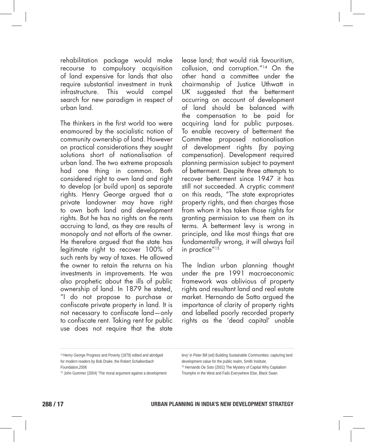rehabilitation package would make recourse to compulsory acquisition of land expensive for lands that also require substantial investment in trunk infrastructure. This would compel search for new paradigm in respect of urban land.

The thinkers in the first world too were enamoured by the socialistic notion of community ownership of land. However on practical considerations they sought solutions short of nationalisation of urban land. The two extreme proposals had one thing in common. Both considered right to own land and right to develop (or build upon) as separate rights. Henry George argued that a private landowner may have right to own both land and development rights. But he has no rights on the rents accruing to land, as they are results of monopoly and not efforts of the owner. He therefore argued that the state has legitimate right to recover 100% of such rents by way of taxes. He allowed the owner to retain the returns on his investments in improvements. He was also prophetic about the ills of public ownership of land. In 1879 he stated, "I do not propose to purchase or confiscate private property in land. It is not necessary to confiscate land—only to confiscate rent. Taking rent for public use does not require that the state

lease land; that would risk favouritism, collusion, and corruption."14 On the other hand a committee under the chairmanship of Justice Uthwatt in UK suggested that the betterment occurring on account of development of land should be balanced with the compensation to be paid for acquiring land for public purposes. To enable recovery of betterment the Committee proposed nationalisation of development rights (by paying compensation). Development required planning permission subject to payment of betterment. Despite three attempts to recover betterment since 1947 it has still not succeeded. A cryptic comment on this reads, "The state expropriates property rights, and then charges those from whom it has taken those rights for granting permission to use them on its terms. A betterment levy is wrong in principle, and like most things that are fundamentally wrong, it will always fail in practice"<sup>15</sup>

The Indian urban planning thought under the pre 1991 macroeconomic framework was oblivious of property rights and resultant land and real estate market. Hernando de Sotto argued the importance of clarity of property rights and labelled poorly recorded property rights as the 'dead capital' unable

<sup>14</sup> Henry George Progress and Poverty (1879) edited and abridged for modern readers by Bob Drake, the Robert Schalkenbach Foundation,2006

<sup>&</sup>lt;sup>15</sup> John Gummer (2004) 'The moral argument against a development

levy' in Peter Bill (ed) Building Sustainable Communities: capturing land development value for the public realm, Smith Institute. <sup>16</sup> Hernando De Soto (2001) The Mystery of Capital Why Capitalism Triumphs in the West and Fails Everywhere Else, Black Swan.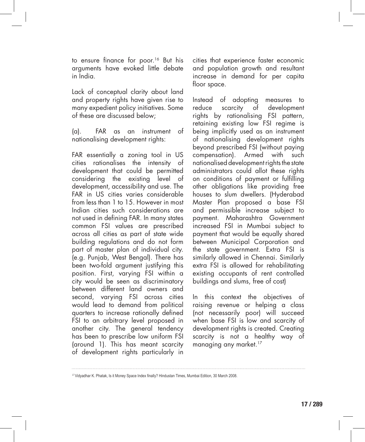to ensure finance for poor.<sup>16</sup> But his arguments have evoked little debate in India.

Lack of conceptual clarity about land and property rights have given rise to many expedient policy initiatives. Some of these are discussed below;

(a). FAR as an instrument of nationalising development rights:

FAR essentially a zoning tool in US cities rationalises the intensity of development that could be permitted considering the existing level of development, accessibility and use. The FAR in US cities varies considerable from less than 1 to 15. However in most Indian cities such considerations are not used in defining FAR. In many states common FSI values are prescribed across all cities as part of state wide building regulations and do not form part of master plan of individual city. (e.g. Punjab, West Bengal). There has been two-fold argument justifying this position. First, varying FSI within a city would be seen as discriminatory between different land owners and second, varying FSI across cities would lead to demand from political quarters to increase rationally defined FSI to an arbitrary level proposed in another city. The general tendency has been to prescribe low uniform FSI (around 1). This has meant scarcity of development rights particularly in cities that experience faster economic and population growth and resultant increase in demand for per capita floor space.

Instead of adopting measures to reduce scarcity of development rights by rationalising FSI pattern, retaining existing low FSI regime is being implicitly used as an instrument of nationalising development rights beyond prescribed FSI (without paying compensation). Armed with such nationalised development rights the state administrators could allot these rights on conditions of payment or fulfilling other obligations like providing free houses to slum dwellers. (Hyderabad Master Plan proposed a base FSI and permissible increase subject to payment. Maharashtra Government increased FSI in Mumbai subject to payment that would be equally shared between Municipal Corporation and the state government. Extra FSI is similarly allowed in Chennai. Similarly extra FSI is allowed for rehabilitating existing occupants of rent controlled buildings and slums, free of cost)

In this context the objectives of raising revenue or helping a class (not necessarily poor) will succeed when base FSI is low and scarcity of development rights is created. Creating scarcity is not a healthy way of managing any market.<sup>17</sup>

<sup>17</sup>Vidyadhar K. Phatak, Is it Money Space Index finally? Hindustan Times, Mumbai Edition, 30 March 2008.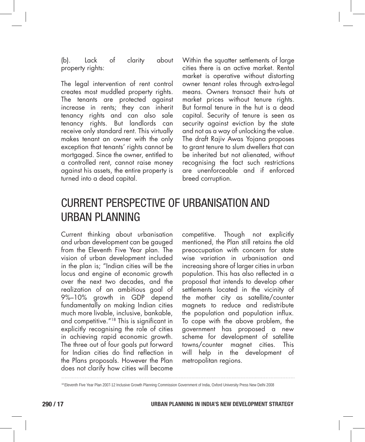(b). Lack of clarity about property rights:

The legal intervention of rent control creates most muddled property rights. The tenants are protected against increase in rents; they can inherit tenancy rights and can also sale tenancy rights. But landlords can receive only standard rent. This virtually makes tenant an owner with the only exception that tenants' rights cannot be mortgaged. Since the owner, entitled to a controlled rent, cannot raise money against his assets, the entire property is turned into a dead capital.

Within the squatter settlements of large cities there is an active market. Rental market is operative without distorting owner tenant roles through extra-legal means. Owners transact their huts at market prices without tenure rights. But formal tenure in the hut is a dead capital. Security of tenure is seen as security against eviction by the state and not as a way of unlocking the value. The draft Rajiv Awas Yojana proposes to grant tenure to slum dwellers that can be inherited but not alienated, without recognising the fact such restrictions are unenforceable and if enforced breed corruption.

# CURRENT PERSPECTIVE OF URBANISATION AND URBAN PLANNING

Current thinking about urbanisation and urban development can be gauged from the Eleventh Five Year plan. The vision of urban development included in the plan is; "Indian cities will be the locus and engine of economic growth over the next two decades, and the realization of an ambitious goal of 9%–10% growth in GDP depend fundamentally on making Indian cities much more livable, inclusive, bankable, and competitive."18 This is significant in explicitly recognising the role of cities in achieving rapid economic growth. The three out of four goals put forward for Indian cities do find reflection in the Plans proposals. However the Plan does not clarify how cities will become

competitive. Though not explicitly mentioned, the Plan still retains the old preoccupation with concern for state wise variation in urbanisation and increasing share of larger cities in urban population. This has also reflected in a proposal that intends to develop other settlements located in the vicinity of the mother city as satellite/counter magnets to reduce and redistribute the population and population influx. To cope with the above problem, the government has proposed a new scheme for development of satellite towns/counter magnet cities. This will help in the development of metropolitan regions.

<sup>&</sup>lt;sup>18</sup> Eleventh Five Year Plan 2007-12 Inclusive Growth Planning Commission Government of India, Oxford University Press New Delhi 2008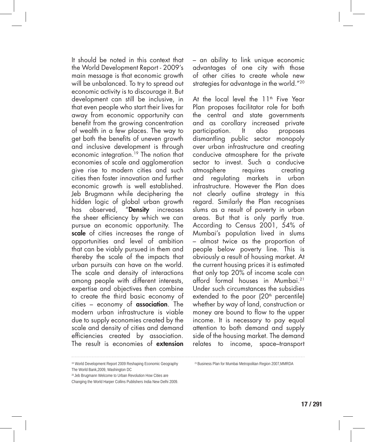It should be noted in this context that the World Development Report - 2009's main message is that economic growth will be unbalanced. To try to spread out economic activity is to discourage it. But development can still be inclusive, in that even people who start their lives far away from economic opportunity can benefit from the growing concentration of wealth in a few places. The way to get both the benefits of uneven growth and inclusive development is through economic integration.19 The notion that economies of scale and agglomeration give rise to modern cities and such cities then foster innovation and further economic growth is well established. Jeb Brugmann while deciphering the hidden logic of global urban growth has observed, "Density increases the sheer efficiency by which we can pursue an economic opportunity. The scale of cities increases the range of opportunities and level of ambition that can be viably pursued in them and thereby the scale of the impacts that urban pursuits can have on the world. The scale and density of interactions among people with different interests, expertise and objectives then combine to create the third basic economy of cities – economy of association. The modern urban infrastructure is viable due to supply economies created by the scale and density of cities and demand efficiencies created by association. The result is economies of extension

– an ability to link unique economic advantages of one city with those of other cities to create whole new strategies for advantage in the world."20

At the local level the  $11<sup>th</sup>$  Five Year Plan proposes facilitator role for both the central and state governments and as corollary increased private participation. It also proposes dismantling public sector monopoly over urban infrastructure and creating conducive atmosphere for the private sector to invest. Such a conducive atmosphere requires creating and regulating markets in urban infrastructure. However the Plan does not clearly outline strategy in this regard. Similarly the Plan recognises slums as a result of poverty in urban areas. But that is only partly true. According to Census 2001, 54% of Mumbai's population lived in slums – almost twice as the proportion of people below poverty line. This is obviously a result of housing market. At the current housing prices it is estimated that only top 20% of income scale can afford formal houses in Mumbai.21 Under such circumstances the subsidies extended to the poor  $(20<sup>th</sup>$  percentile) whether by way of land, construction or money are bound to flow to the upper income. It is necessary to pay equal attention to both demand and supply side of the housing market. The demand relates to income, space–transport

<sup>19</sup> World Development Report 2009 Reshaping Economic Geography The World Bank,2009, Washington DC

<sup>&</sup>lt;sup>20</sup> Jeb Brugmann Welcome to Urban Revolution How Cities are

Changing the World Harper Collins Publishers India New Delhi 2009.

 <sup>21</sup> Business Plan for Mumbai Metropolitan Region 2007,MMRDA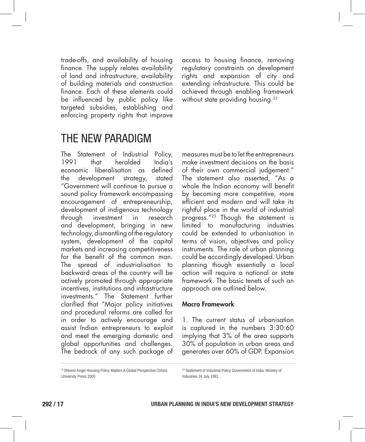trade-offs, and availability of housing finance. The supply relates availability of land and infrastructure, availability of building materials and construction finance. Each of these elements could be influenced by public policy like targeted subsidies, establishing and enforcing property rights that improve access to housing finance, removing regulatory constraints on development rights and expansion of city and extending infrastructure. This could be achieved through enabling framework without state providing housing.<sup>22</sup>

### THE NEW PARADIGM

The Statement of Industrial Policy, 1991 that heralded India's economic liberalisation as defined the development strategy, stated "Government will continue to pursue a sound policy framework encompassing encouragement of entrepreneurship, development of indigenous technology through investment in research and development, bringing in new technology, dismantling of the regulatory system, development of the capital markets and increasing competitiveness for the benefit of the common man. The spread of industrialisation to backward areas of the country will be actively promoted through appropriate incentives, institutions and infrastructure investments." The Statement further clarified that "Major policy initiatives and procedural reforms are called for in order to actively encourage and assist Indian entrepreneurs to exploit and meet the emerging domestic and global opportunities and challenges. The bedrock of any such package of measures must be to let the entrepreneurs make investment decisions on the basis of their own commercial judgement." The statement also asserted, "As a whole the Indian economy will benefit by becoming more competitive, more efficient and modern and will take its rightful place in the world of industrial progress."23 Though the statement is limited to manufacturing industries could be extended to urbanisation in terms of vision, objectives and policy instruments. The role of urban planning could be accordingly developed. Urban planning though essentially a local action will require a national or state framework. The basic tenets of such an approach are outlined below.

#### Macro Framework

1. The current status of urbanisation is captured in the numbers 3:30:60 implying that 3% of the area supports 30% of population in urban areas and generates over 60% of GDP. Expansion

22 Shlomo Angel Housing Policy Matters A Global Perspective Oxford University Press 2000

23 Statement of Industrial Policy Government of India, Ministry of Industries 24 July 1991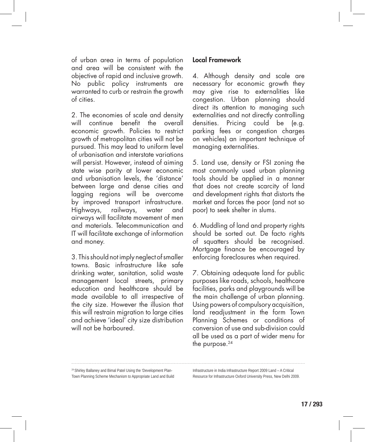of urban area in terms of population and area will be consistent with the objective of rapid and inclusive growth. No public policy instruments are warranted to curb or restrain the growth of cities.

2. The economies of scale and density will continue benefit the overall economic growth. Policies to restrict growth of metropolitan cities will not be pursued. This may lead to uniform level of urbanisation and interstate variations will persist. However, instead of aiming state wise parity at lower economic and urbanisation levels, the 'distance' between large and dense cities and lagging regions will be overcome by improved transport infrastructure. Highways, railways, water and airways will facilitate movement of men and materials. Telecommunication and IT will facilitate exchange of information and money.

3. This should not imply neglect of smaller towns. Basic infrastructure like safe drinking water, sanitation, solid waste management local streets, primary education and healthcare should be made available to all irrespective of the city size. However the illusion that this will restrain migration to large cities and achieve 'ideal' city size distribution will not be harboured

#### Local Framework

4. Although density and scale are necessary for economic growth they may give rise to externalities like congestion. Urban planning should direct its attention to managing such externalities and not directly controlling densities. Pricing could be (e.g. parking fees or congestion charges on vehicles) an important technique of managing externalities.

5. Land use, density or FSI zoning the most commonly used urban planning tools should be applied in a manner that does not create scarcity of land and development rights that distorts the market and forces the poor (and not so poor) to seek shelter in slums.

6. Muddling of land and property rights should be sorted out. De facto rights of squatters should be recognised. Mortgage finance be encouraged by enforcing foreclosures when required.

7. Obtaining adequate land for public purposes like roads, schools, healthcare facilities, parks and playgrounds will be the main challenge of urban planning. Using powers of compulsory acquisition, land readjustment in the form Town Planning Schemes or conditions of conversion of use and sub-division could all be used as a part of wider menu for the purpose. $24$ 

24 Shirley Ballaney and Bimal Patel Using the 'Development Plan-Town Planning Scheme Mechanism to Appropriate Land and Build Infrastructure in India Infrastructure Report 2009 Land – A Critical Resource for Infrastructure Oxford University Press, New Delhi 2009.